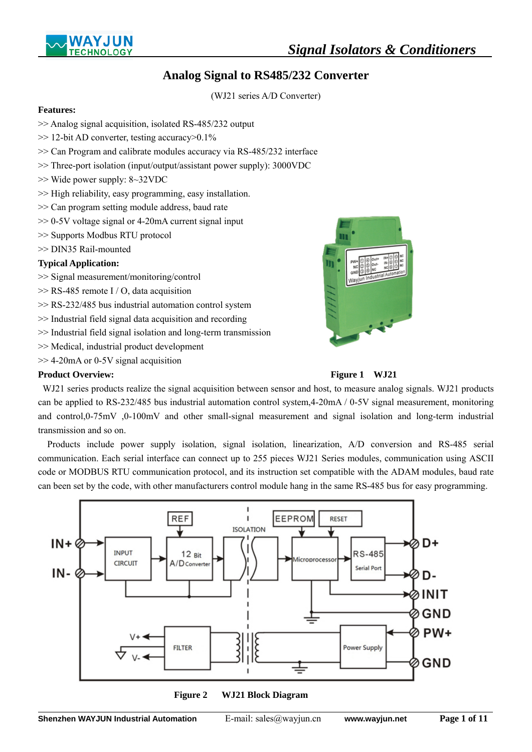



# **Analog Signal to RS485/232 Converter**

(WJ21 series A/D Converter)

### **Features:**

- >> Analog signal acquisition, isolated RS-485/232 output
- >> 12-bit AD converter, testing accuracy>0.1%
- >> Can Program and calibrate modules accuracy via RS-485/232 interface
- >> Three-port isolation (input/output/assistant power supply): 3000VDC
- >> Wide power supply: 8~32VDC
- >> High reliability, easy programming, easy installation.
- >> Can program setting module address, baud rate
- >> 0-5V voltage signal or 4-20mA current signal input
- >> Supports Modbus RTU protocol
- >> DIN35 Rail-mounted

### **Typical Application:**

- >> Signal measurement/monitoring/control
- >> RS-485 remote I / O, data acquisition
- >> RS-232/485 bus industrial automation control system
- >> Industrial field signal data acquisition and recording
- >> Industrial field signal isolation and long-term transmission
- >> Medical, industrial product development
- >> 4-20mA or 0-5V signal acquisition

### **Product Overview:** Figure 1 WJ21





WJ21 series products realize the signal acquisition between sensor and host, to measure analog signals. WJ21 products can be applied to RS-232/485 bus industrial automation control system,4-20mA / 0-5V signal measurement, monitoring and control,0-75mV ,0-100mV and other small-signal measurement and signal isolation and long-term industrial transmission and so on.

Products include power supply isolation, signal isolation, linearization, A/D conversion and RS-485 serial communication. Each serial interface can connect up to 255 pieces WJ21 Series modules, communication using ASCII code or MODBUS RTU communication protocol, and its instruction set compatible with the ADAM modules, baud rate can been set by the code, with other manufacturers control module hang in the same RS-485 bus for easy programming.



**Figure 2 WJ21 Block Diagram**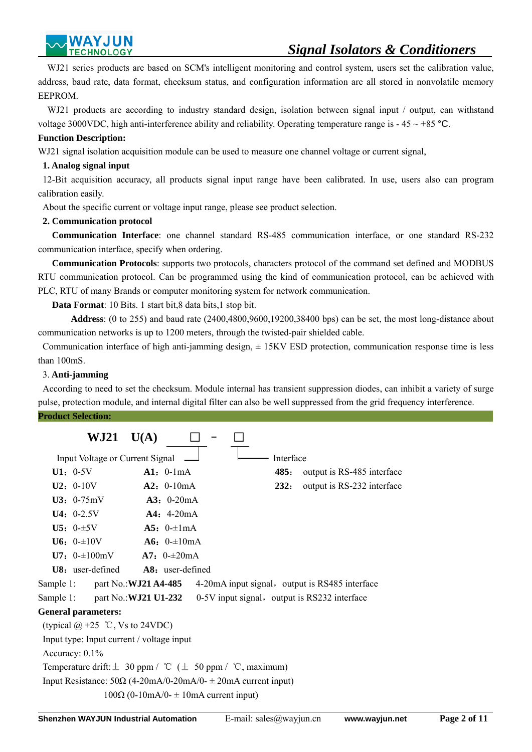

WJ21 series products are based on SCM's intelligent monitoring and control system, users set the calibration value, address, baud rate, data format, checksum status, and configuration information are all stored in nonvolatile memory EEPROM.

 WJ21 products are according to industry standard design, isolation between signal input / output, can withstand voltage 3000VDC, high anti-interference ability and reliability. Operating temperature range is  $-45 \sim +85$  °C.

#### **Function Description:**

WJ21 signal isolation acquisition module can be used to measure one channel voltage or current signal,

### **1. Analog signal input**

 12-Bit acquisition accuracy, all products signal input range have been calibrated. In use, users also can program calibration easily.

About the specific current or voltage input range, please see product selection.

### **2. Communication protocol**

 **Communication Interface**: one channel standard RS-485 communication interface, or one standard RS-232 communication interface, specify when ordering.

 **Communication Protocols**: supports two protocols, characters protocol of the command set defined and MODBUS RTU communication protocol. Can be programmed using the kind of communication protocol, can be achieved with PLC, RTU of many Brands or computer monitoring system for network communication.

**Data Format**: 10 Bits. 1 start bit,8 data bits,1 stop bit.

 **Address**: (0 to 255) and baud rate (2400,4800,9600,19200,38400 bps) can be set, the most long-distance about communication networks is up to 1200 meters, through the twisted-pair shielded cable.

 Communication interface of high anti-jamming design, ± 15KV ESD protection, communication response time is less than 100mS.

### 3. **Anti-jamming**

 According to need to set the checksum. Module internal has transient suppression diodes, can inhibit a variety of surge pulse, protection module, and internal digital filter can also be well suppressed from the grid frequency interference.

#### **Product Selection:**

| WJ21                                                                     | U(A)                                             |  |           |                                                 |
|--------------------------------------------------------------------------|--------------------------------------------------|--|-----------|-------------------------------------------------|
| Input Voltage or Current Signal                                          |                                                  |  | Interface |                                                 |
| $U1: 0-5V$                                                               | $Al: 0-lmA$                                      |  | 485:      | output is RS-485 interface                      |
| $U2: 0-10V$                                                              | $A2: 0-10mA$                                     |  | 232:      | output is RS-232 interface                      |
| $U3: 0-75mV$                                                             | $A3: 0-20mA$                                     |  |           |                                                 |
| $U4: 0-2.5V$                                                             | $A4: 4-20mA$                                     |  |           |                                                 |
| $U5: 0-15V$                                                              | $A5: 0=1mA$                                      |  |           |                                                 |
| $U6: 0=10V$                                                              | $A6: 0=10mA$                                     |  |           |                                                 |
| <b>U7:</b> $0\text{--}100\text{mV}$ <b>A7:</b> $0\text{--}20\text{mA}$   |                                                  |  |           |                                                 |
| $U8:$ user-defined                                                       | $A8:$ user-defined                               |  |           |                                                 |
| part No.: <b>WJ21 A4-485</b><br>Sample 1:                                |                                                  |  |           | 4-20 mA input signal, output is RS485 interface |
| Sample 1:<br>part No.: <b>WJ21 U1-232</b>                                |                                                  |  |           | 0-5V input signal, output is RS232 interface    |
| <b>General parameters:</b>                                               |                                                  |  |           |                                                 |
| (typical $\omega$ +25 °C, Vs to 24VDC)                                   |                                                  |  |           |                                                 |
| Input type: Input current / voltage input                                |                                                  |  |           |                                                 |
| Accuracy: $0.1\%$                                                        |                                                  |  |           |                                                 |
| Temperature drift: $\pm$ 30 ppm / °C ( $\pm$ 50 ppm / °C, maximum)       |                                                  |  |           |                                                 |
| Input Resistance: $50\Omega$ (4-20mA/0-20mA/0- $\pm$ 20mA current input) |                                                  |  |           |                                                 |
|                                                                          | $100\Omega$ (0-10mA/0- $\pm$ 10mA current input) |  |           |                                                 |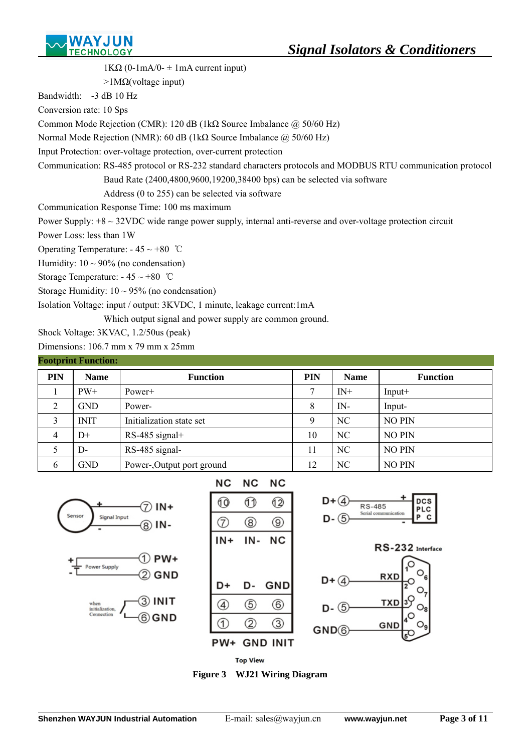

1KΩ (0-1mA/0-  $\pm$  1mA current input)  $>1$ M $\Omega$ (voltage input) Bandwidth: -3 dB 10 Hz Conversion rate: 10 Sps Common Mode Rejection (CMR): 120 dB (1kΩ Source Imbalance  $\omega$  50/60 Hz) Normal Mode Rejection (NMR): 60 dB (1kΩ Source Imbalance @ 50/60 Hz) Input Protection: over-voltage protection, over-current protection Communication: RS-485 protocol or RS-232 standard characters protocols and MODBUS RTU communication protocol Baud Rate (2400,4800,9600,19200,38400 bps) can be selected via software Address (0 to 255) can be selected via software Communication Response Time: 100 ms maximum Power Supply: +8 ~ 32VDC wide range power supply, internal anti-reverse and over-voltage protection circuit Power Loss: less than 1W Operating Temperature:  $-45 \sim +80$  °C Humidity:  $10 \sim 90\%$  (no condensation) Storage Temperature:  $-45 \sim +80$  °C Storage Humidity:  $10 \sim 95\%$  (no condensation)

Isolation Voltage: input / output: 3KVDC, 1 minute, leakage current:1mA

Which output signal and power supply are common ground.

Shock Voltage: 3KVAC, 1.2/50us (peak)

Dimensions: 106.7 mm x 79 mm x 25mm

| <b>Footprint Function:</b> |             |                            |            |             |                 |  |  |
|----------------------------|-------------|----------------------------|------------|-------------|-----------------|--|--|
| <b>PIN</b>                 | <b>Name</b> | <b>Function</b>            | <b>PIN</b> | <b>Name</b> | <b>Function</b> |  |  |
|                            | $PW+$       | Power+                     | ┑          | $IN+$       | $Input+$        |  |  |
| 2                          | <b>GND</b>  | Power-                     | 8          | $IN-$       | Input-          |  |  |
| 3                          | <b>INIT</b> | Initialization state set   | Q          | NC          | <b>NO PIN</b>   |  |  |
| $\overline{4}$             | $D+$        | RS-485 signal+             | 10         | NC          | <b>NO PIN</b>   |  |  |
|                            | $D-$        | RS-485 signal-             | 11         | NC          | <b>NO PIN</b>   |  |  |
| 6                          | <b>GND</b>  | Power-, Output port ground | 12         | NC          | <b>NO PIN</b>   |  |  |









 $\overline{a}$ 

**RS-485** 

.<br>Serial con

**DCS** 

RS-232 Interface

RXD

**TXD** 

GND

 $GND<sub>6</sub>$ 

LC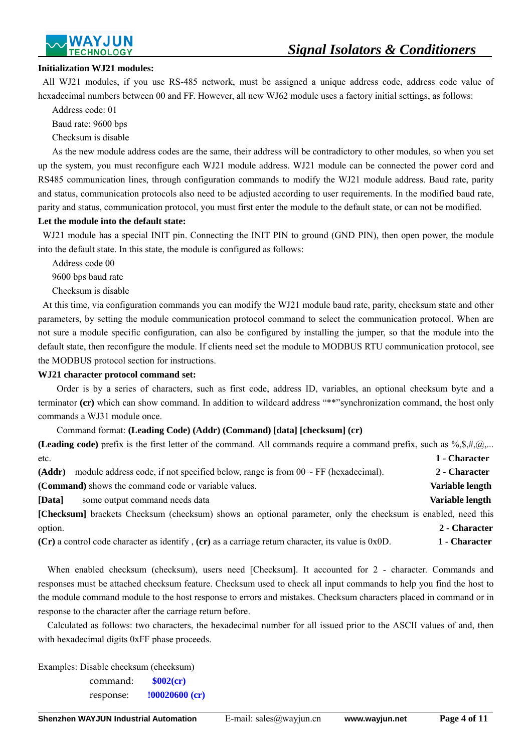

#### **Initialization WJ21 modules:**

 All WJ21 modules, if you use RS-485 network, must be assigned a unique address code, address code value of hexadecimal numbers between 00 and FF. However, all new WJ62 module uses a factory initial settings, as follows:

Address code: 01

Baud rate: 9600 bps

Checksum is disable

 As the new module address codes are the same, their address will be contradictory to other modules, so when you set up the system, you must reconfigure each WJ21 module address. WJ21 module can be connected the power cord and RS485 communication lines, through configuration commands to modify the WJ21 module address. Baud rate, parity and status, communication protocols also need to be adjusted according to user requirements. In the modified baud rate, parity and status, communication protocol, you must first enter the module to the default state, or can not be modified.

#### **Let the module into the default state:**

WJ21 module has a special INIT pin. Connecting the INIT PIN to ground (GND PIN), then open power, the module into the default state. In this state, the module is configured as follows:

Address code 00

9600 bps baud rate

Checksum is disable

 At this time, via configuration commands you can modify the WJ21 module baud rate, parity, checksum state and other parameters, by setting the module communication protocol command to select the communication protocol. When are not sure a module specific configuration, can also be configured by installing the jumper, so that the module into the default state, then reconfigure the module. If clients need set the module to MODBUS RTU communication protocol, see the MODBUS protocol section for instructions.

#### **WJ21 character protocol command set:**

 Order is by a series of characters, such as first code, address ID, variables, an optional checksum byte and a terminator **(cr)** which can show command. In addition to wildcard address "\*\*"synchronization command, the host only commands a WJ31 module once.

#### Command format: **(Leading Code) (Addr) (Command) [data] [checksum] (cr)**

| (Leading code) prefix is the first letter of the command. All commands require a command prefix, such as $\%,\$ , $\%,\$ , |                 |
|----------------------------------------------------------------------------------------------------------------------------|-----------------|
| etc.                                                                                                                       | 1 - Character   |
| module address code, if not specified below, range is from $00 \sim FF$ (hexadecimal).<br>(Addr)                           | 2 - Character   |
| ( <b>Command</b> ) shows the command code or variable values.                                                              | Variable length |
| $\lfloor Data \rfloor$<br>some output command needs data                                                                   | Variable length |
| [Checksum] brackets Checksum (checksum) shows an optional parameter, only the checksum is enabled, need this               |                 |
| option.                                                                                                                    | 2 - Character   |
| $(Cr)$ a control code character as identify, $(cr)$ as a carriage return character, its value is 0x0D.                     | 1 - Character   |

When enabled checksum (checksum), users need [Checksum]. It accounted for 2 - character. Commands and responses must be attached checksum feature. Checksum used to check all input commands to help you find the host to the module command module to the host response to errors and mistakes. Checksum characters placed in command or in response to the character after the carriage return before.

Calculated as follows: two characters, the hexadecimal number for all issued prior to the ASCII values of and, then with hexadecimal digits 0xFF phase proceeds.

Examples: Disable checksum (checksum) command: **\$002(cr)** response: **!00020600 (cr)**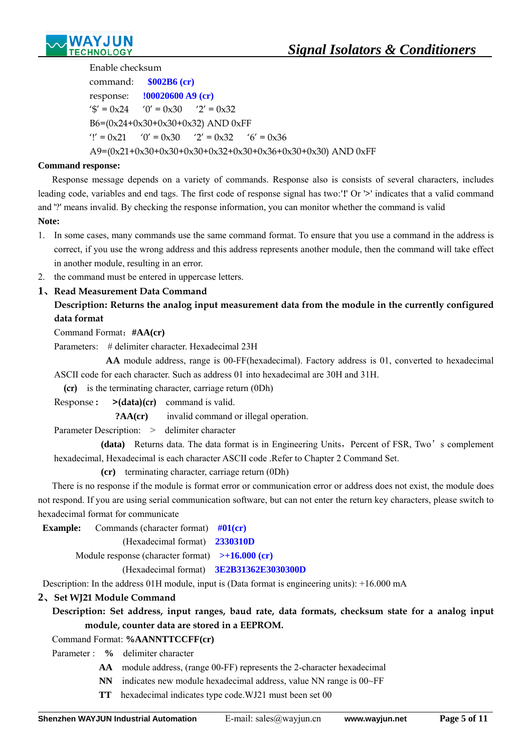

Enable checksum

command: **\$002B6 (cr)** response: **!00020600 A9 (cr)** ' $\sqrt[6]{ }$  = 0x24 '0' = 0x30 '2' = 0x32 B6=(0x24+0x30+0x30+0x32) AND 0xFF '!' =  $0x21$  '0' =  $0x30$  '2' =  $0x32$  '6' =  $0x36$ A9=(0x21+0x30+0x30+0x30+0x32+0x30+0x36+0x30+0x30) AND 0xFF

### **Command response:**

 Response message depends on a variety of commands. Response also is consists of several characters, includes leading code, variables and end tags. The first code of response signal has two:**'!**' Or '**>**' indicates that a valid command and '?' means invalid. By checking the response information, you can monitor whether the command is valid **Note:** 

- 1. In some cases, many commands use the same command format. To ensure that you use a command in the address is correct, if you use the wrong address and this address represents another module, then the command will take effect in another module, resulting in an error.
- 2. the command must be entered in uppercase letters.

## **1**、**Read Measurement Data Command**

## **Description: Returns the analog input measurement data from the module in the currently configured data format**

Command Format:**#AA(cr)**

Parameters: # delimiter character. Hexadecimal 23H

 **AA** module address, range is 00-FF(hexadecimal). Factory address is 01, converted to hexadecimal ASCII code for each character. Such as address 01 into hexadecimal are 30H and 31H.

**(cr)** is the terminating character, carriage return (0Dh)

Response **: >(data)(cr)** command is valid.

**?AA(cr)** invalid command or illegal operation.

Parameter Description: > delimiter character

(data) Returns data. The data format is in Engineering Units, Percent of FSR, Two's complement hexadecimal, Hexadecimal is each character ASCII code .Refer to Chapter 2 Command Set.

**(cr)** terminating character, carriage return (0Dh)

There is no response if the module is format error or communication error or address does not exist, the module does not respond. If you are using serial communication software, but can not enter the return key characters, please switch to hexadecimal format for communicate

**Example:** Commands (character format)  $\#01$ (cr)

(Hexadecimal format) **2330310D**

Module response (character format) **>+16.000 (cr)** 

(Hexadecimal format) **3E2B31362E3030300D** 

Description: In the address 01H module, input is (Data format is engineering units): +16.000 mA

## **2**、**Set WJ21 Module Command**

## **Description: Set address, input ranges, baud rate, data formats, checksum state for a analog input module, counter data are stored in a EEPROM.**

Command Format: **%AANNTTCCFF(cr)**

Parameter : **%** delimiter character

- **AA** module address, (range 00-FF) represents the 2-character hexadecimal
- **NN** indicates new module hexadecimal address, value NN range is 00~FF
- **TT** hexadecimal indicates type code.WJ21 must been set 00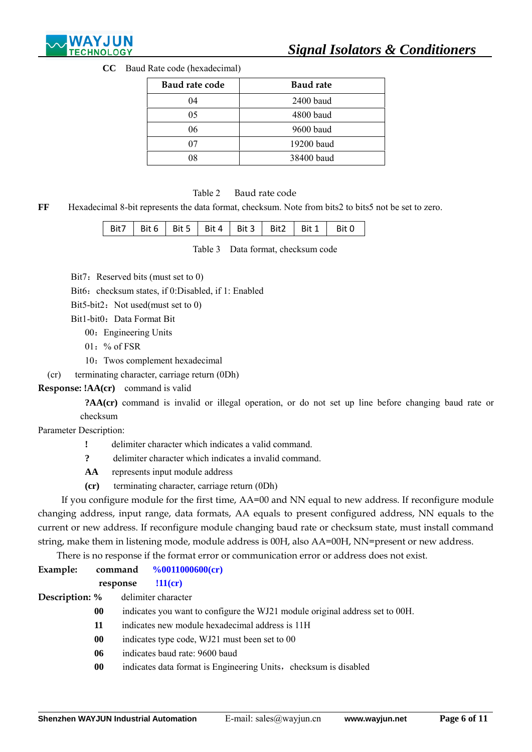

**CC** Baud Rate code (hexadecimal)

| Baud rate code | <b>Baud rate</b> |
|----------------|------------------|
| 04             | 2400 baud        |
| 05             | 4800 baud        |
| 06             | 9600 baud        |
|                | 19200 baud       |
|                | 38400 baud       |

### Table 2 Baud rate code

**FF** Hexadecimal 8-bit represents the data format, checksum. Note from bits2 to bits5 not be set to zero.

|  |  |  | Bit7   Bit 6   Bit 5   Bit 4   Bit 3   Bit 2   Bit 1   Bit 0 |  |
|--|--|--|--------------------------------------------------------------|--|
|  |  |  |                                                              |  |

Table 3 Data format, checksum code

Bit7: Reserved bits (must set to 0)

Bit6: checksum states, if 0:Disabled, if 1: Enabled

Bit5-bit2: Not used(must set to  $0$ )

Bit1-bit0: Data Format Bit

00: Engineering Units

- $01:$  % of FSR
- 10:Twos complement hexadecimal

(cr) terminating character, carriage return (0Dh)

**Response: !AA(cr)** command is valid

 **?AA(cr)** command is invalid or illegal operation, or do not set up line before changing baud rate or checksum

Parameter Description:

 $\overline{a}$ 

- **!** delimiter character which indicates a valid command.
- **?** delimiter character which indicates a invalid command.
- **AA** represents input module address
- **(cr)** terminating character, carriage return (0Dh)

If you configure module for the first time, AA=00 and NN equal to new address. If reconfigure module changing address, input range, data formats, AA equals to present configured address, NN equals to the current or new address. If reconfigure module changing baud rate or checksum state, must install command string, make them in listening mode, module address is 00H, also AA=00H, NN=present or new address.

There is no response if the format error or communication error or address does not exist.

| Example:              |          |                                                                              |
|-----------------------|----------|------------------------------------------------------------------------------|
|                       | response | $!11$ (cr)                                                                   |
| <b>Description:</b> % |          | delimiter character                                                          |
| $\bf{00}$             |          | indicates you want to configure the WJ21 module original address set to 00H. |
| 11                    |          | indicates new module hexadecimal address is 11H                              |
| 00                    |          | indicates type code, WJ21 must been set to 00                                |
| 06                    |          | indicates baud rate: 9600 baud                                               |
|                       | 00       | indicates data format is Engineering Units, checksum is disabled             |
|                       |          |                                                                              |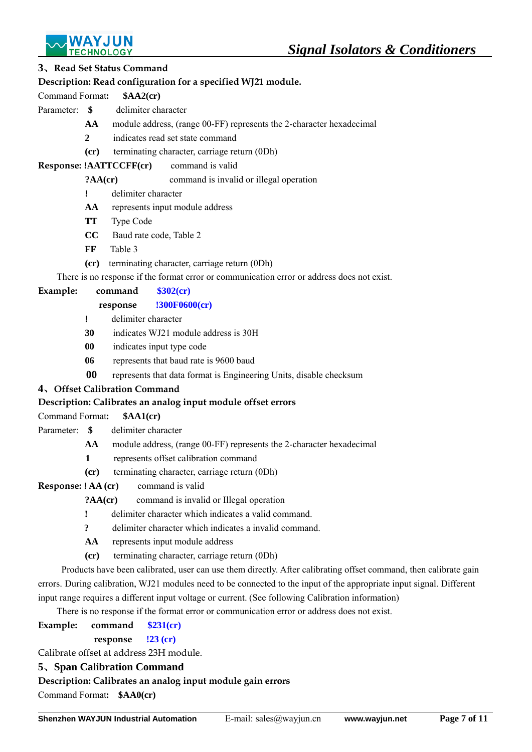

### **3**、**Read Set Status Command**

### **Description: Read configuration for a specified WJ21 module.**

Command Format**: \$AA2(cr)** 

Parameter: **\$** delimiter character

- **AA** module address, (range 00-FF) represents the 2-character hexadecimal
- **2** indicates read set state command
- **(cr)** terminating character, carriage return (0Dh)

**Response: !AATTCCFF(cr)** command is valid

**?AA(cr)** command is invalid or illegal operation

- **!** delimiter character
- **AA** represents input module address
- **TT** Type Code
- **CC** Baud rate code, Table 2
- **FF** Table 3
- **(cr)** terminating character, carriage return (0Dh)

There is no response if the format error or communication error or address does not exist.

### **Example: command \$302(cr)**

- **response !300F0600(cr)**
- **!** delimiter character
- **30** indicates WJ21 module address is 30H
- **00** indicates input type code
- **06** represents that baud rate is 9600 baud
- **00** represents that data format is Engineering Units, disable checksum

## **4**、**Offset Calibration Command**

## **Description: Calibrates an analog input module offset errors**

- Command Format**: \$AA1(cr)**
- Parameter: **\$** delimiter character
	- **AA** module address, (range 00-FF) represents the 2-character hexadecimal
	- **1** represents offset calibration command
	- **(cr)** terminating character, carriage return (0Dh)
- **Response: ! AA (cr)** command is valid
	- **?AA(cr)** command is invalid or Illegal operation
		- **!** delimiter character which indicates a valid command.
		- **?** delimiter character which indicates a invalid command.
		- **AA** represents input module address
		- **(cr)** terminating character, carriage return (0Dh)

Products have been calibrated, user can use them directly. After calibrating offset command, then calibrate gain errors. During calibration, WJ21 modules need to be connected to the input of the appropriate input signal. Different input range requires a different input voltage or current. (See following Calibration information)

There is no response if the format error or communication error or address does not exist.

- **Example: command \$231(cr)**
	- **response !23 (cr)**

Calibrate offset at address 23H module.

### **5**、**Span Calibration Command**

**Description: Calibrates an analog input module gain errors**

Command Format**: \$AA0(cr)**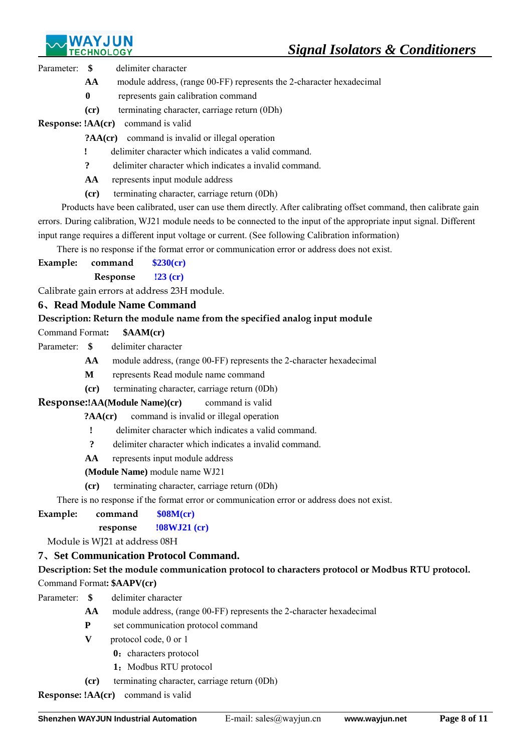

Parameter: **\$** delimiter character

- **AA** module address, (range 00-FF) represents the 2-character hexadecimal
- **0** represents gain calibration command
- **(cr)** terminating character, carriage return (0Dh)

**Response: !AA(cr)** command is valid

- **?AA(cr)** command is invalid or illegal operation
- **!** delimiter character which indicates a valid command.
- **?** delimiter character which indicates a invalid command.
- **AA** represents input module address
- **(cr)** terminating character, carriage return (0Dh)

Products have been calibrated, user can use them directly. After calibrating offset command, then calibrate gain errors. During calibration, WJ21 module needs to be connected to the input of the appropriate input signal. Different input range requires a different input voltage or current. (See following Calibration information)

There is no response if the format error or communication error or address does not exist.

- **Example: command \$230(cr)**
	- **Response !23 (cr)**

Calibrate gain errors at address 23H module.

## **6**、**Read Module Name Command**

## **Description: Return the module name from the specified analog input module**

Command Format**: \$AAM(cr)** 

- Parameter: **\$** delimiter character
	- **AA** module address, (range 00-FF) represents the 2-character hexadecimal
	- **M** represents Read module name command
	- **(cr)** terminating character, carriage return (0Dh)

**Response:!AA(Module Name)(cr)** command is valid

**?AA(cr)** command is invalid or illegal operation

- **!** delimiter character which indicates a valid command.
- **?** delimiter character which indicates a invalid command.
- **AA** represents input module address
- **(Module Name)** module name WJ21
- **(cr)** terminating character, carriage return (0Dh)

There is no response if the format error or communication error or address does not exist.

- **Example: command \$08M(cr)** 
	- **response !08WJ21 (cr)**

Module is WJ21 at address 08H

## **7**、**Set Communication Protocol Command.**

## **Description: Set the module communication protocol to characters protocol or Modbus RTU protocol.**

Command Format**: \$AAPV(cr)**

- Parameter: **\$** delimiter character
	- **AA** module address, (range 00-FF) represents the 2-character hexadecimal
	- **P** set communication protocol command
	- **V** protocol code, 0 or 1
		- **0**: characters protocol
		- 1: Modbus RTU protocol
	- **(cr)** terminating character, carriage return (0Dh)

**Response: !AA(cr)** command is valid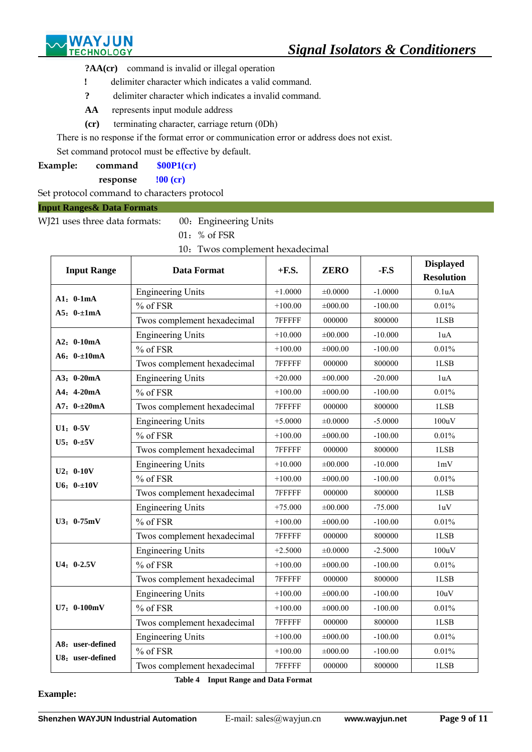

**?AA(cr)** command is invalid or illegal operation

- **!** delimiter character which indicates a valid command.
- **?** delimiter character which indicates a invalid command.
- **AA** represents input module address
- **(cr)** terminating character, carriage return (0Dh)

There is no response if the format error or communication error or address does not exist.

Set command protocol must be effective by default.

| Example: | command | \$00P1(cr) |
|----------|---------|------------|
|----------|---------|------------|

**response !00 (cr)** 

Set protocol command to characters protocol

#### **Input Ranges& Data Formats**

WJ21 uses three data formats: 00: Engineering Units

01:% of FSR

10: Twos complement hexadecimal

| <b>Input Range</b>           | <b>Data Format</b>          | $+$ <b>F.S.</b>                                                                                                                                                                                                                                                                                                                                                                                              | <b>ZERO</b>  | $-F.S$    | <b>Displayed</b><br><b>Resolution</b> |
|------------------------------|-----------------------------|--------------------------------------------------------------------------------------------------------------------------------------------------------------------------------------------------------------------------------------------------------------------------------------------------------------------------------------------------------------------------------------------------------------|--------------|-----------|---------------------------------------|
|                              | <b>Engineering Units</b>    | $+1.0000$                                                                                                                                                                                                                                                                                                                                                                                                    | ±0.0000      | $-1.0000$ | 0.1uA                                 |
| $A1: 0-1mA$                  | % of FSR                    | $+100.00$                                                                                                                                                                                                                                                                                                                                                                                                    | ±000.00      | $-100.00$ | 0.01%                                 |
| $A5: 0 \pm 1mA$              | Twos complement hexadecimal | 7FFFFF                                                                                                                                                                                                                                                                                                                                                                                                       | 000000       | 800000    | 1LSB                                  |
|                              | <b>Engineering Units</b>    | $+10.000$                                                                                                                                                                                                                                                                                                                                                                                                    | $\pm 00.000$ | $-10.000$ | 1uA                                   |
| $A2: 0-10mA$<br>$A6: 0=10mA$ | % of FSR                    | $+100.00$                                                                                                                                                                                                                                                                                                                                                                                                    | $\pm 000.00$ | $-100.00$ | 0.01%                                 |
|                              | Twos complement hexadecimal | 7FFFFF                                                                                                                                                                                                                                                                                                                                                                                                       | 000000       | 800000    | 1LSB                                  |
| A3: 0-20mA                   | <b>Engineering Units</b>    | $+20.000$                                                                                                                                                                                                                                                                                                                                                                                                    | $\pm 00.000$ | $-20.000$ | 1uA                                   |
| $A4: 4-20mA$                 | % of FSR                    | $+100.00$                                                                                                                                                                                                                                                                                                                                                                                                    | $\pm 000.00$ | $-100.00$ | 0.01%                                 |
| $A7: 0 - \pm 20mA$           | Twos complement hexadecimal | 7FFFFF                                                                                                                                                                                                                                                                                                                                                                                                       | 000000       | 800000    | 1LSB                                  |
|                              | <b>Engineering Units</b>    | $+5.0000$                                                                                                                                                                                                                                                                                                                                                                                                    | $\pm 0.0000$ | $-5.0000$ | 100uV                                 |
| $U1: 0-5V$<br>$U5: 0-15V$    | % of FSR                    | $+100.00$                                                                                                                                                                                                                                                                                                                                                                                                    | $\pm 000.00$ | $-100.00$ | 0.01%                                 |
|                              | Twos complement hexadecimal | 7FFFFF<br>000000<br>$+10.000$<br>$\pm 00.000$<br>$+100.00$<br>$\pm 000.00$<br>7FFFFF<br>000000<br>$+75.000$<br>$\pm 00.000$<br>$+100.00$<br>$\pm 000.00$<br>7FFFFF<br>000000<br>$+2.5000$<br>±0.0000<br>$+100.00$<br>$\pm 000.00$<br>7FFFFF<br>000000<br>$+100.00$<br>$\pm 000.00$<br>$+100.00$<br>$\pm 000.00$<br>7FFFFF<br>000000<br>$+100.00$<br>±000.00<br>$+100.00$<br>$\pm 000.00$<br>7FFFFF<br>000000 | 800000       | 1LSB      |                                       |
|                              | <b>Engineering Units</b>    |                                                                                                                                                                                                                                                                                                                                                                                                              |              | $-10,000$ | 1mV                                   |
| $U2: 0-10V$<br>$U6: 0 - 10V$ | % of FSR                    |                                                                                                                                                                                                                                                                                                                                                                                                              |              | $-100.00$ | 0.01%                                 |
|                              | Twos complement hexadecimal |                                                                                                                                                                                                                                                                                                                                                                                                              |              | 800000    | 1LSB                                  |
|                              | <b>Engineering Units</b>    |                                                                                                                                                                                                                                                                                                                                                                                                              |              | $-75.000$ | 1uV                                   |
| U3: 0.75mV                   | % of FSR                    |                                                                                                                                                                                                                                                                                                                                                                                                              |              | $-100.00$ | 0.01%                                 |
|                              | Twos complement hexadecimal |                                                                                                                                                                                                                                                                                                                                                                                                              |              | 800000    | 1LSB                                  |
|                              | <b>Engineering Units</b>    |                                                                                                                                                                                                                                                                                                                                                                                                              |              | $-2.5000$ | 100uV                                 |
| $U4: 0-2.5V$                 | % of FSR                    |                                                                                                                                                                                                                                                                                                                                                                                                              |              | $-100.00$ | 0.01%                                 |
|                              | Twos complement hexadecimal |                                                                                                                                                                                                                                                                                                                                                                                                              |              | 800000    | 1LSB                                  |
|                              | <b>Engineering Units</b>    |                                                                                                                                                                                                                                                                                                                                                                                                              |              | $-100.00$ | 10uV                                  |
| U7: 0-100mV                  | % of FSR                    |                                                                                                                                                                                                                                                                                                                                                                                                              |              | $-100.00$ | 0.01%                                 |
|                              | Twos complement hexadecimal |                                                                                                                                                                                                                                                                                                                                                                                                              |              | 800000    | 1LSB                                  |
| A8: user-defined             | <b>Engineering Units</b>    |                                                                                                                                                                                                                                                                                                                                                                                                              |              | $-100.00$ | 0.01%                                 |
| U8: user-defined             | % of FSR                    |                                                                                                                                                                                                                                                                                                                                                                                                              |              | $-100.00$ | 0.01%                                 |
|                              | Twos complement hexadecimal |                                                                                                                                                                                                                                                                                                                                                                                                              |              | 800000    | 1LSB                                  |

**Table 4 Input Range and Data Format** 

#### **Example:**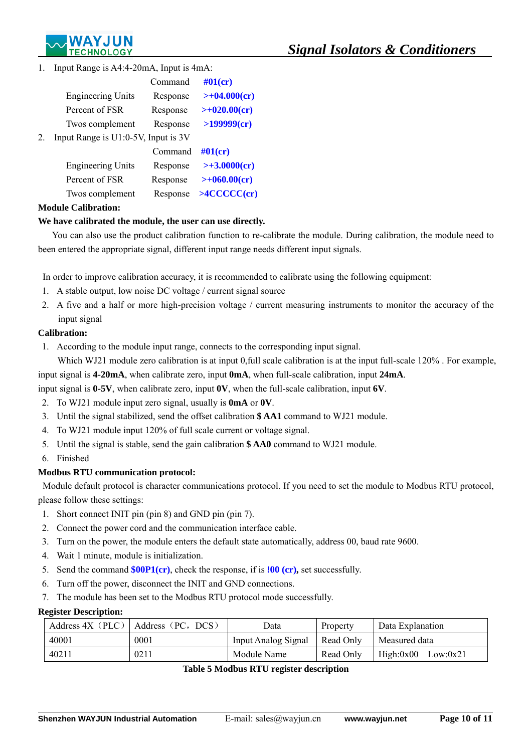

1. Input Range is A4:4-20mA, Input is 4mA:

|    |                                     | Command  | $#01$ (cr)         |
|----|-------------------------------------|----------|--------------------|
|    | <b>Engineering Units</b>            | Response | $>>+04.000(cr)$    |
|    | Percent of FSR                      | Response | $>+020.00$ (cr)    |
|    | Twos complement                     | Response | >199999(cr)        |
| 2. | Input Range is U1:0-5V, Input is 3V |          |                    |
|    |                                     | Command  | $\#01$ (cr)        |
|    | <b>Engineering Units</b>            | Response | $>> 3.0000$ (cr)   |
|    | Percent of FSR                      | Response | $>+060.00$ (cr)    |
|    | Twos complement                     | Response | $>$ 4 $CCCCC$ (cr) |
|    |                                     |          |                    |

### **Module Calibration:**

### **We have calibrated the module, the user can use directly.**

You can also use the product calibration function to re-calibrate the module. During calibration, the module need to been entered the appropriate signal, different input range needs different input signals.

In order to improve calibration accuracy, it is recommended to calibrate using the following equipment:

- 1. A stable output, low noise DC voltage / current signal source
- 2. A five and a half or more high-precision voltage / current measuring instruments to monitor the accuracy of the input signal

### **Calibration:**

1. According to the module input range, connects to the corresponding input signal.

Which WJ21 module zero calibration is at input 0,full scale calibration is at the input full-scale 120%. For example, input signal is **4-20mA**, when calibrate zero, input **0mA**, when full-scale calibration, input **24mA**.

input signal is **0-5V**, when calibrate zero, input **0V**, when the full-scale calibration, input **6V**.

- 2. To WJ21 module input zero signal, usually is **0mA** or **0V**.
- 3. Until the signal stabilized, send the offset calibration **\$ AA1** command to WJ21 module.
- 4. To WJ21 module input 120% of full scale current or voltage signal.
- 5. Until the signal is stable, send the gain calibration **\$ AA0** command to WJ21 module.
- 6. Finished

### **Modbus RTU communication protocol:**

 Module default protocol is character communications protocol. If you need to set the module to Modbus RTU protocol, please follow these settings:

- 1. Short connect INIT pin (pin 8) and GND pin (pin 7).
- 2. Connect the power cord and the communication interface cable.
- 3. Turn on the power, the module enters the default state automatically, address 00, baud rate 9600.
- 4. Wait 1 minute, module is initialization.
- 5. Send the command **\$00P1(cr)**, check the response, if is **!00 (cr),** set successfully.
- 6. Turn off the power, disconnect the INIT and GND connections.
- 7. The module has been set to the Modbus RTU protocol mode successfully.

#### **Register Description:**

 $\overline{a}$ 

| Address $4X$ (PLC) | Address (PC, DCS) | Data                       | Property  | Data Explanation      |
|--------------------|-------------------|----------------------------|-----------|-----------------------|
| 40001              | 0001              | <b>Input Analog Signal</b> | Read Only | Measured data         |
| 40211              | 0211              | Module Name                | Read Only | High:0x00<br>Low:0x21 |

#### **Table 5 Modbus RTU register description**